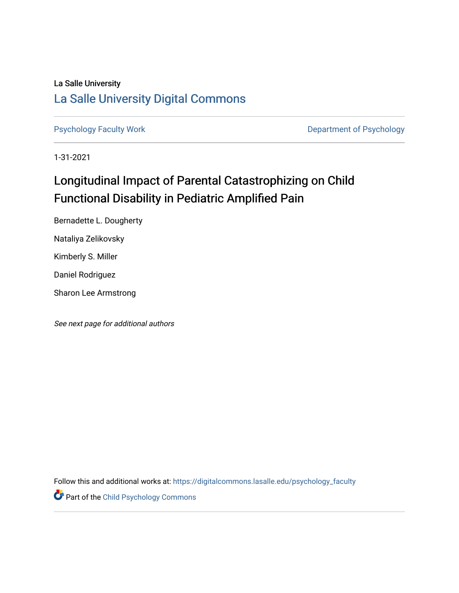### La Salle University [La Salle University Digital Commons](https://digitalcommons.lasalle.edu/)

[Psychology Faculty Work](https://digitalcommons.lasalle.edu/psychology_faculty) **Department of Psychology** 

1-31-2021

## Longitudinal Impact of Parental Catastrophizing on Child Functional Disability in Pediatric Amplified Pain

Bernadette L. Dougherty Nataliya Zelikovsky Kimberly S. Miller Daniel Rodriguez Sharon Lee Armstrong

See next page for additional authors

Follow this and additional works at: [https://digitalcommons.lasalle.edu/psychology\\_faculty](https://digitalcommons.lasalle.edu/psychology_faculty?utm_source=digitalcommons.lasalle.edu%2Fpsychology_faculty%2F2&utm_medium=PDF&utm_campaign=PDFCoverPages) 

**Part of the Child Psychology Commons**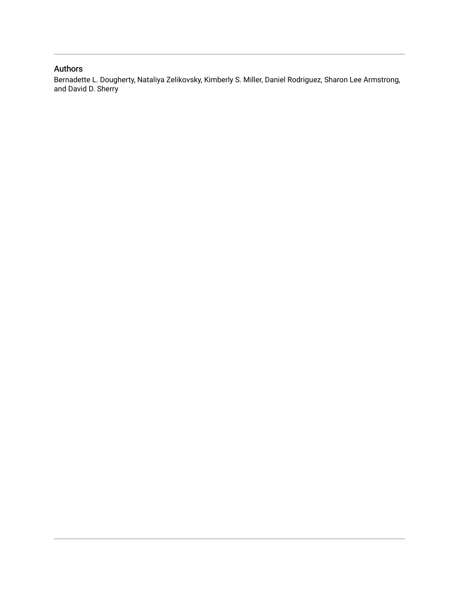### Authors

Bernadette L. Dougherty, Nataliya Zelikovsky, Kimberly S. Miller, Daniel Rodriguez, Sharon Lee Armstrong, and David D. Sherry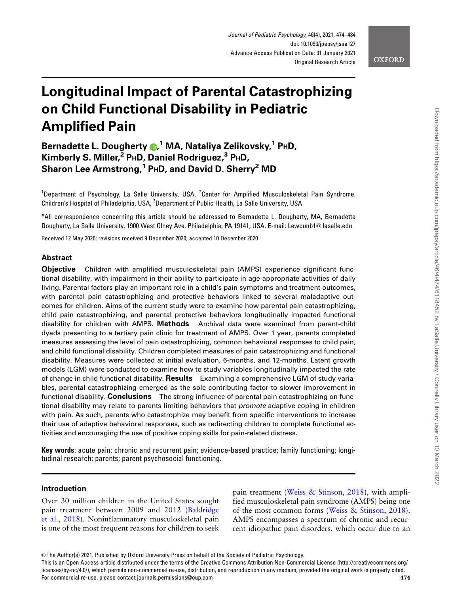

# Longitudinal Impact of Parental Catastrophizing on Child Functional Disability in Pediatric Amplified Pain

Bernadette L. Dougherty @[,](http://orcid.org/0000-0003-2880-5604)<sup>1</sup> MA, Nataliya Zelikovsky,<sup>1</sup> P**HD**, Kimberly S. Miller, $^2$  PHD, Daniel Rodriguez, $^3$  PHD, Sharon Lee Armstrong,<sup>1</sup> PHD, and David D. Sherry<sup>2</sup> MD

<sup>1</sup>Department of Psychology, La Salle University, USA, <sup>2</sup>Center for Amplified Musculoskeletal Pain Syndrome, Children's Hospital of Philadelphia, USA, <sup>3</sup>Department of Public Health, La Salle University, USA

\*All correspondence concerning this article should be addressed to Bernadette L. Dougherty, MA, Bernadette Dougherty, La Salle University, 1900 West Olney Ave. Philadelphia, PA 19141, USA. E-mail: Lewcunb1@.lasalle.edu

Received 12 May 2020; revisions received 9 December 2020; accepted 10 December 2020

#### Abstract

Objective Children with amplified musculoskeletal pain (AMPS) experience significant functional disability, with impairment in their ability to participate in age-appropriate activities of daily living. Parental factors play an important role in a child's pain symptoms and treatment outcomes, with parental pain catastrophizing and protective behaviors linked to several maladaptive outcomes for children. Aims of the current study were to examine how parental pain catastrophizing, child pain catastrophizing, and parental protective behaviors longitudinally impacted functional disability for children with AMPS. Methods Archival data were examined from parent-child dyads presenting to a tertiary pain clinic for treatment of AMPS. Over 1 year, parents completed measures assessing the level of pain catastrophizing, common behavioral responses to child pain, and child functional disability. Children completed measures of pain catastrophizing and functional disability. Measures were collected at initial evaluation, 6-months, and 12-months. Latent growth models (LGM) were conducted to examine how to study variables longitudinally impacted the rate of change in child functional disability. **Results** Examining a comprehensive LGM of study variables, parental catastrophizing emerged as the sole contributing factor to slower improvement in functional disability. Conclusions The strong influence of parental pain catastrophizing on functional disability may relate to parents limiting behaviors that *promote* adaptive coping in children with pain. As such, parents who catastrophize may benefit from specific interventions to increase their use of adaptive behavioral responses, such as redirecting children to complete functional activities and encouraging the use of positive coping skills for pain-related distress.

Key words: acute pain; chronic and recurrent pain; evidence-based practice; family functioning; longitudinal research; parents; parent psychosocial functioning.

#### Introduction

Over 30 million children in the United States sought pain treatment between 2009 and 2012 [\(Baldridge](#page-10-0) [et al., 2018\)](#page-10-0). Noninflammatory musculoskeletal pain is one of the most frequent reasons for children to seek

pain treatment ([Weiss & Stinson, 2018\)](#page-12-0), with amplified musculoskeletal pain syndrome (AMPS) being one of the most common forms [\(Weiss & Stinson, 2018\)](#page-12-0). AMPS encompasses a spectrum of chronic and recurrent idiopathic pain disorders, which occur due to an

This is an Open Access article distributed under the terms of the Creative Commons Attribution Non-Commercial License (http://creativecommons.org/ licenses/by-nc/4.0/), which permits non-commercial re-use, distribution, and reproduction in any medium, provided the original work is properly cited. For commercial re-use, please contact journals.permissions@oup.com 474

V<sup>C</sup> The Author(s) 2021. Published by Oxford University Press on behalf of the Society of Pediatric Psychology.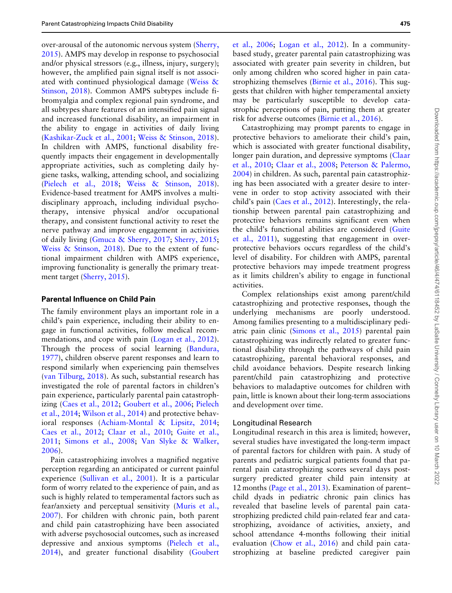over-arousal of the autonomic nervous system [\(Sherry,](#page-11-0) [2015\)](#page-11-0). AMPS may develop in response to psychosocial and/or physical stressors (e.g., illness, injury, surgery); however, the amplified pain signal itself is not associated with continued physiological damage ([Weiss](#page-12-0) & [Stinson, 2018](#page-12-0)). Common AMPS subtypes include fibromyalgia and complex regional pain syndrome, and all subtypes share features of an intensified pain signal and increased functional disability, an impairment in the ability to engage in activities of daily living ([Kashikar-Zuck et al., 2001;](#page-11-0) [Weiss](#page-12-0) & [Stinson, 2018\)](#page-12-0). In children with AMPS, functional disability frequently impacts their engagement in developmentally appropriate activities, such as completing daily hygiene tasks, walking, attending school, and socializing ([Pielech et al., 2018;](#page-11-0) [Weiss](#page-12-0) & [Stinson, 2018\)](#page-12-0). Evidence-based treatment for AMPS involves a multidisciplinary approach, including individual psychotherapy, intensive physical and/or occupational therapy, and consistent functional activity to reset the nerve pathway and improve engagement in activities of daily living [\(Gmuca & Sherry, 2017](#page-11-0); [Sherry, 2015;](#page-11-0) [Weiss](#page-12-0) [& Stinson, 2018\)](#page-12-0). Due to the extent of functional impairment children with AMPS experience, improving functionality is generally the primary treatment target ([Sherry, 2015\)](#page-11-0).

#### Parental Influence on Child Pain

The family environment plays an important role in a child's pain experience, including their ability to engage in functional activities, follow medical recommendations, and cope with pain ([Logan et al., 2012\)](#page-11-0). Through the process of social learning [\(Bandura,](#page-10-0) [1977\)](#page-10-0), children observe parent responses and learn to respond similarly when experiencing pain themselves ([van Tilburg, 2018\)](#page-12-0). As such, substantial research has investigated the role of parental factors in children's pain experience, particularly parental pain catastrophizing [\(Caes et al., 2012](#page-10-0); [Goubert et al., 2006](#page-11-0); [Pielech](#page-11-0) [et al., 2014](#page-11-0); [Wilson et al., 2014\)](#page-12-0) and protective behavioral responses ([Achiam-Montal & Lipsitz, 2014;](#page-10-0) [Caes et al., 2012](#page-10-0); [Claar et al., 2010;](#page-10-0) [Guite et al.,](#page-11-0) [2011;](#page-11-0) [Simons et al., 2008;](#page-11-0) [Van Slyke & Walker,](#page-12-0) [2006\)](#page-12-0).

Pain catastrophizing involves a magnified negative perception regarding an anticipated or current painful experience ([Sullivan et al., 2001\)](#page-12-0). It is a particular form of worry related to the experience of pain, and as such is highly related to temperamental factors such as fear/anxiety and perceptual sensitivity ([Muris et al.,](#page-11-0) [2007\)](#page-11-0). For children with chronic pain, both parent and child pain catastrophizing have been associated with adverse psychosocial outcomes, such as increased depressive and anxious symptoms [\(Pielech et al.,](#page-11-0) [2014\)](#page-11-0), and greater functional disability ([Goubert](#page-11-0)

[et al., 2006](#page-11-0); [Logan et al., 2012](#page-11-0)). In a communitybased study, greater parental pain catastrophizing was associated with greater pain severity in children, but only among children who scored higher in pain catastrophizing themselves [\(Birnie et al., 2016\)](#page-10-0). This suggests that children with higher temperamental anxiety may be particularly susceptible to develop catastrophic perceptions of pain, putting them at greater risk for adverse outcomes [\(Birnie et al., 2016\)](#page-10-0).

Catastrophizing may prompt parents to engage in protective behaviors to ameliorate their child's pain, which is associated with greater functional disability, longer pain duration, and depressive symptoms ([Claar](#page-10-0) [et al., 2010](#page-10-0); [Claar et al., 2008](#page-10-0); [Peterson](#page-11-0) & [Palermo,](#page-11-0) [2004\)](#page-11-0) in children. As such, parental pain catastrophizing has been associated with a greater desire to intervene in order to stop activity associated with their child's pain ([Caes et al., 2012](#page-10-0)). Interestingly, the relationship between parental pain catastrophizing and protective behaviors remains significant even when the child's functional abilities are considered ([Guite](#page-11-0) [et al., 2011\)](#page-11-0), suggesting that engagement in overprotective behaviors occurs regardless of the child's level of disability. For children with AMPS, parental protective behaviors may impede treatment progress as it limits children's ability to engage in functional activities.

Complex relationships exist among parent/child catastrophizing and protective responses, though the underlying mechanisms are poorly understood. Among families presenting to a multidisciplinary pediatric pain clinic [\(Simons et al., 2015\)](#page-11-0) parental pain catastrophizing was indirectly related to greater functional disability through the pathways of child pain catastrophizing, parental behavioral responses, and child avoidance behaviors. Despite research linking parent/child pain catastrophizing and protective behaviors to maladaptive outcomes for children with pain, little is known about their long-term associations and development over time.

#### Longitudinal Research

Longitudinal research in this area is limited; however, several studies have investigated the long-term impact of parental factors for children with pain. A study of parents and pediatric surgical patients found that parental pain catastrophizing scores several days postsurgery predicted greater child pain intensity at 12 months ([Page et al., 2013](#page-11-0)). Examination of parent– child dyads in pediatric chronic pain clinics has revealed that baseline levels of parental pain catastrophizing predicted child pain-related fear and catastrophizing, avoidance of activities, anxiety, and school attendance 4-months following their initial evaluation [\(Chow et al., 2016](#page-10-0)) and child pain catastrophizing at baseline predicted caregiver pain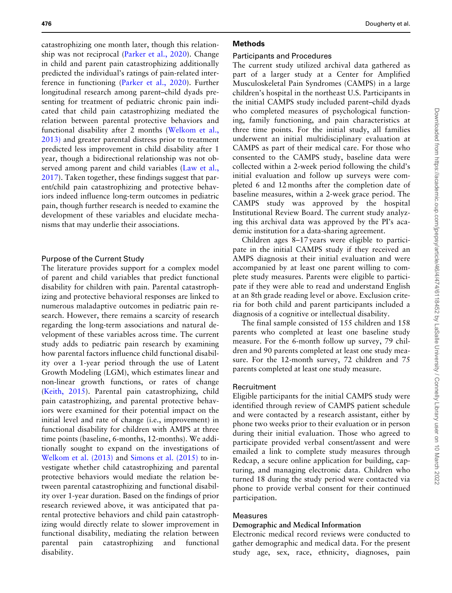catastrophizing one month later, though this relationship was not reciprocal ([Parker et al., 2020](#page-11-0)). Change in child and parent pain catastrophizing additionally predicted the individual's ratings of pain-related interference in functioning [\(Parker et al., 2020\)](#page-11-0). Further longitudinal research among parent–child dyads presenting for treatment of pediatric chronic pain indicated that child pain catastrophizing mediated the relation between parental protective behaviors and functional disability after 2 months ([Welkom et al.,](#page-12-0) [2013\)](#page-12-0) and greater parental distress prior to treatment predicted less improvement in child disability after 1 year, though a bidirectional relationship was not observed among parent and child variables ([Law et al.,](#page-11-0) [2017\)](#page-11-0). Taken together, these findings suggest that parent/child pain catastrophizing and protective behaviors indeed influence long-term outcomes in pediatric pain, though further research is needed to examine the development of these variables and elucidate mechanisms that may underlie their associations.

#### Purpose of the Current Study

The literature provides support for a complex model of parent and child variables that predict functional disability for children with pain. Parental catastrophizing and protective behavioral responses are linked to numerous maladaptive outcomes in pediatric pain research. However, there remains a scarcity of research regarding the long-term associations and natural development of these variables across time. The current study adds to pediatric pain research by examining how parental factors influence child functional disability over a 1-year period through the use of Latent Growth Modeling (LGM), which estimates linear and non-linear growth functions, or rates of change ([Keith, 2015\)](#page-11-0). Parental pain catastrophizing, child pain catastrophizing, and parental protective behaviors were examined for their potential impact on the initial level and rate of change (i.e., improvement) in functional disability for children with AMPS at three time points (baseline, 6-months, 12-months). We additionally sought to expand on the investigations of [Welkom et al. \(2013\)](#page-12-0) and [Simons et al. \(2015\)](#page-11-0) to investigate whether child catastrophizing and parental protective behaviors would mediate the relation between parental catastrophizing and functional disability over 1-year duration. Based on the findings of prior research reviewed above, it was anticipated that parental protective behaviors and child pain catastrophizing would directly relate to slower improvement in functional disability, mediating the relation between parental pain catastrophizing and functional disability.

#### Methods

#### Participants and Procedures

The current study utilized archival data gathered as part of a larger study at a Center for Amplified Musculoskeletal Pain Syndromes (CAMPS) in a large children's hospital in the northeast U.S. Participants in the initial CAMPS study included parent–child dyads who completed measures of psychological functioning, family functioning, and pain characteristics at three time points. For the initial study, all families underwent an initial multidisciplinary evaluation at CAMPS as part of their medical care. For those who consented to the CAMPS study, baseline data were collected within a 2-week period following the child's initial evaluation and follow up surveys were completed 6 and 12 months after the completion date of baseline measures, within a 2-week grace period. The CAMPS study was approved by the hospital Institutional Review Board. The current study analyzing this archival data was approved by the PI's academic institution for a data-sharing agreement.

Children ages 8–17 years were eligible to participate in the initial CAMPS study if they received an AMPS diagnosis at their initial evaluation and were accompanied by at least one parent willing to complete study measures. Parents were eligible to participate if they were able to read and understand English at an 8th grade reading level or above. Exclusion criteria for both child and parent participants included a diagnosis of a cognitive or intellectual disability.

The final sample consisted of 155 children and 158 parents who completed at least one baseline study measure. For the 6-month follow up survey, 79 children and 90 parents completed at least one study measure. For the 12-month survey, 72 children and 75 parents completed at least one study measure.

#### Recruitment

Eligible participants for the initial CAMPS study were identified through review of CAMPS patient schedule and were contacted by a research assistant, either by phone two weeks prior to their evaluation or in person during their initial evaluation. Those who agreed to participate provided verbal consent/assent and were emailed a link to complete study measures through Redcap, a secure online application for building, capturing, and managing electronic data. Children who turned 18 during the study period were contacted via phone to provide verbal consent for their continued participation.

#### Measures

#### Demographic and Medical Information

Electronic medical record reviews were conducted to gather demographic and medical data. For the present study age, sex, race, ethnicity, diagnoses, pain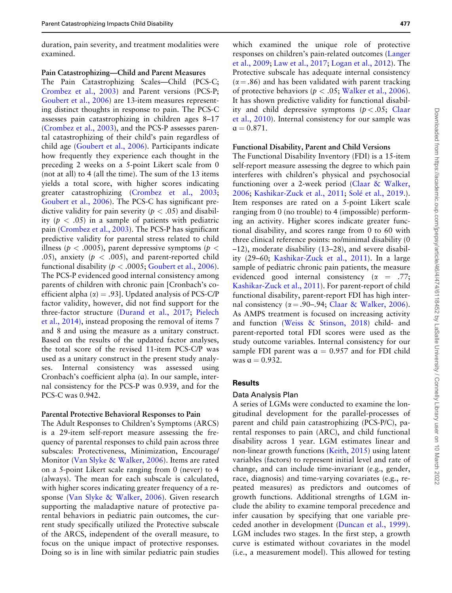duration, pain severity, and treatment modalities were examined.

Pain Catastrophizing—Child and Parent Measures The Pain Catastrophizing Scales—Child (PCS-C; [Crombez et al., 2003](#page-11-0)) and Parent versions (PCS-P; [Goubert et al., 2006\)](#page-11-0) are 13-item measures representing distinct thoughts in response to pain. The PCS-C assesses pain catastrophizing in children ages 8–17 ([Crombez et al., 2003](#page-11-0)), and the PCS-P assesses parental catastrophizing of their child's pain regardless of child age ([Goubert et al., 2006](#page-11-0)). Participants indicate how frequently they experience each thought in the preceding 2 weeks on a 5-point Likert scale from 0 (not at all) to 4 (all the time). The sum of the 13 items yields a total score, with higher scores indicating greater catastrophizing ([Crombez et al., 2003;](#page-11-0) [Goubert et al., 2006](#page-11-0)). The PCS-C has significant predictive validity for pain severity ( $p < .05$ ) and disability ( $p < .05$ ) in a sample of patients with pediatric pain [\(Crombez et al., 2003\)](#page-11-0). The PCS-P has significant predictive validity for parental stress related to child illness ( $p < .0005$ ), parent depressive symptoms ( $p <$ .05), anxiety ( $p < .005$ ), and parent-reported child functional disability ( $p < .0005$ ; [Goubert et al., 2006\)](#page-11-0). The PCS-P evidenced good internal consistency among parents of children with chronic pain [Cronbach's coefficient alpha ( $\alpha$ ) = .93]. Updated analysis of PCS-C/P factor validity, however, did not find support for the three-factor structure ([Durand et al., 2017](#page-11-0); [Pielech](#page-11-0) [et al., 2014\),](#page-11-0) instead proposing the removal of items 7 and 8 and using the measure as a unitary construct. Based on the results of the updated factor analyses, the total score of the revised 11-item PCS-C/P was used as a unitary construct in the present study analyses. Internal consistency was assessed using Cronbach's coefficient alpha  $(a)$ . In our sample, internal consistency for the PCS-P was 0.939, and for the PCS-C was 0.942.

#### Parental Protective Behavioral Responses to Pain

The Adult Responses to Children's Symptoms (ARCS) is a 29-item self-report measure assessing the frequency of parental responses to child pain across three subscales: Protectiveness, Minimization, Encourage/ Monitor [\(Van Slyke](#page-12-0) & [Walker, 2006](#page-12-0)). Items are rated on a 5-point Likert scale ranging from 0 (never) to 4 (always). The mean for each subscale is calculated, with higher scores indicating greater frequency of a response ([Van Slyke](#page-12-0) & [Walker, 2006](#page-12-0)). Given research supporting the maladaptive nature of protective parental behaviors in pediatric pain outcomes, the current study specifically utilized the Protective subscale of the ARCS, independent of the overall measure, to focus on the unique impact of protective responses. Doing so is in line with similar pediatric pain studies

which examined the unique role of protective responses on children's pain-related outcomes ([Langer](#page-11-0) [et al., 2009](#page-11-0); [Law et al., 2017](#page-11-0); [Logan et al., 2012](#page-11-0)). The Protective subscale has adequate internal consistency  $(\alpha = .86)$  and has been validated with parent tracking of protective behaviors ( $p < .05$ ; [Walker et al., 2006\)](#page-12-0). It has shown predictive validity for functional disability and child depressive symptoms  $(p < .05;$  [Claar](#page-10-0) [et al., 2010\)](#page-10-0). Internal consistency for our sample was  $a = 0.871.$ 

#### Functional Disability, Parent and Child Versions

The Functional Disability Inventory (FDI) is a 15-item self-report measure assessing the degree to which pain interferes with children's physical and psychosocial functioning over a 2-week period [\(Claar](#page-10-0) & [Walker,](#page-10-0) [2006;](#page-10-0) [Kashikar-Zuck et al., 2011;](#page-11-0) [Sol](#page-12-0)é [et al., 2019.](#page-12-0)). Item responses are rated on a 5-point Likert scale ranging from 0 (no trouble) to 4 (impossible) performing an activity. Higher scores indicate greater functional disability, and scores range from 0 to 60 with three clinical reference points: no/minimal disability (0 –12), moderate disability (13–28), and severe disability (29–60; [Kashikar-Zuck et al., 2011](#page-11-0)). In a large sample of pediatric chronic pain patients, the measure evidenced good internal consistency ( $\alpha$  = .77; [Kashikar-Zuck et al., 2011](#page-11-0)). For parent-report of child functional disability, parent-report FDI has high internal consistency ( $\alpha = .90-.94$ ; [Claar](#page-10-0) & [Walker, 2006\)](#page-10-0). As AMPS treatment is focused on increasing activity and function ([Weiss & Stinson, 2018](#page-12-0)) child- and parent-reported total FDI scores were used as the study outcome variables. Internal consistency for our sample FDI parent was  $\alpha = 0.957$  and for FDI child was  $a = 0.932$ .

#### Results

#### Data Analysis Plan

A series of LGMs were conducted to examine the longitudinal development for the parallel-processes of parent and child pain catastrophizing (PCS-P/C), parental responses to pain (ARC), and child functional disability across 1 year. LGM estimates linear and non-linear growth functions ([Keith, 2015\)](#page-11-0) using latent variables (factors) to represent initial level and rate of change, and can include time-invariant (e.g., gender, race, diagnosis) and time-varying covariates (e.g., repeated measures) as predictors and outcomes of growth functions. Additional strengths of LGM include the ability to examine temporal precedence and infer causation by specifying that one variable preceded another in development [\(Duncan et al., 1999\)](#page-11-0). LGM includes two stages. In the first step, a growth curve is estimated without covariates in the model (i.e., a measurement model). This allowed for testing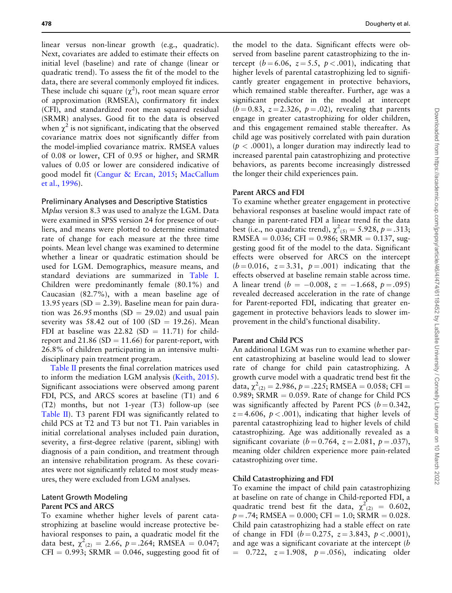linear versus non-linear growth (e.g., quadratic). Next, covariates are added to estimate their effects on initial level (baseline) and rate of change (linear or quadratic trend). To assess the fit of the model to the data, there are several commonly employed fit indices. These include chi square  $(\chi^2)$ , root mean square error of approximation (RMSEA), confirmatory fit index (CFI), and standardized root mean squared residual (SRMR) analyses. Good fit to the data is observed when  $\chi^2$  is not significant, indicating that the observed covariance matrix does not significantly differ from the model-implied covariance matrix. RMSEA values of 0.08 or lower, CFI of 0.95 or higher, and SRMR values of 0.05 or lower are considered indicative of good model fit [\(Cangur](#page-10-0) & [Ercan, 2015;](#page-10-0) [MacCallum](#page-11-0) [et al., 1996](#page-11-0)).

#### Preliminary Analyses and Descriptive Statistics

Mplus version 8.3 was used to analyze the LGM. Data were examined in SPSS version 24 for presence of outliers, and means were plotted to determine estimated rate of change for each measure at the three time points. Mean level change was examined to determine whether a linear or quadratic estimation should be used for LGM. Demographics, measure means, and standard deviations are summarized in [Table I.](#page-7-0) Children were predominantly female (80.1%) and Caucasian (82.7%), with a mean baseline age of 13.95 years (SD = 2.39). Baseline mean for pain duration was  $26.95$  months (SD = 29.02) and usual pain severity was 58.42 out of 100 (SD = 19.26). Mean FDI at baseline was  $22.82$  (SD = 11.71) for childreport and 21.86 (SD = 11.66) for parent-report, with 26.8% of children participating in an intensive multidisciplinary pain treatment program.

[Table II](#page-8-0) presents the final correlation matrices used to inform the mediation LGM analysis ([Keith, 2015\)](#page-11-0). Significant associations were observed among parent FDI, PCS, and ARCS scores at baseline (T1) and 6 (T2) months, but not 1-year (T3) follow-up (see [Table II\)](#page-8-0). T3 parent FDI was significantly related to child PCS at T2 and T3 but not T1. Pain variables in initial correlational analyses included pain duration, severity, a first-degree relative (parent, sibling) with diagnosis of a pain condition, and treatment through an intensive rehabilitation program. As these covariates were not significantly related to most study measures, they were excluded from LGM analyses.

#### Latent Growth Modeling Parent PCS and ARCS

To examine whether higher levels of parent catastrophizing at baseline would increase protective behavioral responses to pain, a quadratic model fit the data best,  $\chi^2_{(2)} = 2.66$ ,  $p = .264$ ; RMSEA = 0.047;  $CFI = 0.993$ ; SRMR = 0.046, suggesting good fit of

the model to the data. Significant effects were observed from baseline parent catastrophizing to the intercept ( $b = 6.06$ ,  $z = 5.5$ ,  $p < .001$ ), indicating that higher levels of parental catastrophizing led to significantly greater engagement in protective behaviors, which remained stable thereafter. Further, age was a significant predictor in the model at intercept  $(b = 0.83, z = 2.326, p = .02)$ , revealing that parents engage in greater catastrophizing for older children, and this engagement remained stable thereafter. As child age was positively correlated with pain duration  $(p < .0001)$ , a longer duration may indirectly lead to increased parental pain catastrophizing and protective behaviors, as parents become increasingly distressed the longer their child experiences pain.

#### Parent ARCS and FDI

To examine whether greater engagement in protective behavioral responses at baseline would impact rate of change in parent-rated FDI a linear trend fit the data best (i.e., no quadratic trend),  $\chi^2_{(5)} = 5.928$ ,  $p = .313$ ; RMSEA =  $0.036$ ; CFI =  $0.986$ ; SRMR =  $0.137$ , suggesting good fit of the model to the data. Significant effects were observed for ARCS on the intercept  $(b = 0.016, z = 3.31, p = .001)$  indicating that the effects observed at baseline remain stable across time. A linear trend ( $b = -0.008$ ,  $z = -1.668$ ,  $p = .095$ ) revealed decreased acceleration in the rate of change for Parent-reported FDI, indicating that greater engagement in protective behaviors leads to slower improvement in the child's functional disability.

#### Parent and Child PCS

An additional LGM was run to examine whether parent catastrophizing at baseline would lead to slower rate of change for child pain catastrophizing. A growth curve model with a quadratic trend best fit the data,  $\chi^2_{(2)} = 2.986$ ,  $p = .225$ ; RMSEA = 0.058; CFI = 0.989; SRMR  $= 0.059$ . Rate of change for Child PCS was significantly affected by Parent PCS ( $b = 0.342$ ,  $z = 4.606$ ,  $p < .001$ ), indicating that higher levels of parental catastrophizing lead to higher levels of child catastrophizing. Age was additionally revealed as a significant covariate ( $b = 0.764$ ,  $z = 2.081$ ,  $p = .037$ ), meaning older children experience more pain-related catastrophizing over time.

#### Child Catastrophizing and FDI

To examine the impact of child pain catastrophizing at baseline on rate of change in Child-reported FDI, a quadratic trend best fit the data,  $\chi^2_{(2)} = 0.602$ ,  $p = .74$ ; RMSEA = 0.000; CFI = 1.0; SRMR = 0.028. Child pain catastrophizing had a stable effect on rate of change in FDI ( $b = 0.275$ ,  $z = 3.843$ ,  $p < .0001$ ), and age was a significant covariate at the intercept (b  $= 0.722, z = 1.908, p = .056$ , indicating older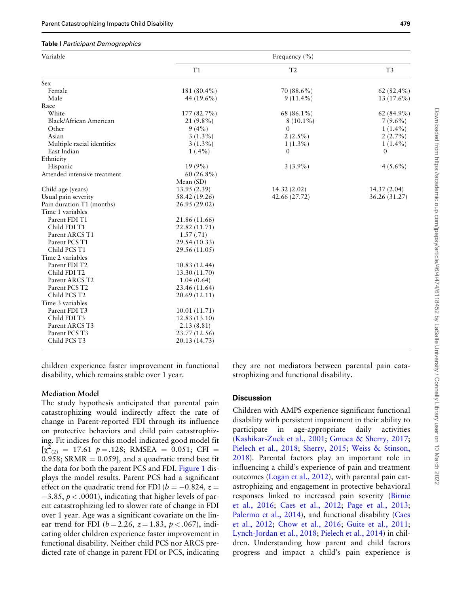#### <span id="page-7-0"></span>Table I Participant Demographics

| Variable                     |               | Frequency $(\% )$ |                |
|------------------------------|---------------|-------------------|----------------|
|                              | T1            | T2                | T <sub>3</sub> |
| Sex                          |               |                   |                |
| Female                       | 181 (80.4%)   | 70 (88.6%)        | 62 $(82.4\%)$  |
| Male                         | 44 (19.6%)    | $9(11.4\%)$       | $13(17.6\%)$   |
| Race                         |               |                   |                |
| White                        | 177 (82.7%)   | 68 (86.1%)        | $62(84.9\%)$   |
| Black/African American       | $21(9.8\%)$   | $8(10.1\%)$       | $7(9.6\%)$     |
| Other                        | $9(4\%)$      | $\Omega$          | $1(1.4\%)$     |
| Asian                        | $3(1.3\%)$    | $2(2.5\%)$        | $2(2.7\%)$     |
| Multiple racial identities   | $3(1.3\%)$    | $1(1.3\%)$        | $1(1.4\%)$     |
| East Indian                  | $1(.4\%)$     | $\Omega$          | $\Omega$       |
| Ethnicity                    |               |                   |                |
| Hispanic                     | $19(9\%)$     | $3(3.9\%)$        | $4(5.6\%)$     |
| Attended intensive treatment | $60(26.8\%)$  |                   |                |
|                              | Mean (SD)     |                   |                |
| Child age (years)            | 13.95(2.39)   | 14.32 (2.02)      | 14.37(2.04)    |
| Usual pain severity          | 58.42 (19.26) | 42.66 (27.72)     | 36.26 (31.27)  |
| Pain duration T1 (months)    | 26.95 (29.02) |                   |                |
| Time 1 variables             |               |                   |                |
| Parent FDI T1                | 21.86 (11.66) |                   |                |
| Child FDI T1                 | 22.82 (11.71) |                   |                |
| Parent ARCS T1               | 1.57(.71)     |                   |                |
| Parent PCS T1                | 29.54 (10.33) |                   |                |
| Child PCS T1                 | 29.56 (11.05) |                   |                |
| Time 2 variables             |               |                   |                |
| Parent FDI T2                | 10.83 (12.44) |                   |                |
| Child FDI T2                 | 13.30 (11.70) |                   |                |
| Parent ARCS T2               | 1.04(0.64)    |                   |                |
| Parent PCS T2                | 23.46 (11.64) |                   |                |
| Child PCS T2                 | 20.69 (12.11) |                   |                |
| Time 3 variables             |               |                   |                |
| Parent FDI T3                | 10.01(11.71)  |                   |                |
| Child FDI T3                 | 12.83(13.10)  |                   |                |
| Parent ARCS T3               | 2.13(8.81)    |                   |                |
| Parent PCS T3                | 23.77 (12.56) |                   |                |
| Child PCS T3                 | 20.13 (14.73) |                   |                |

children experience faster improvement in functional disability, which remains stable over 1 year.

#### Mediation Model

The study hypothesis anticipated that parental pain catastrophizing would indirectly affect the rate of change in Parent-reported FDI through its influence on protective behaviors and child pain catastrophizing. Fit indices for this model indicated good model fit  $[\chi^2_{(2)} = 17.61 \text{ p} = .128; \text{ RMSEA} = 0.051; \text{ CFI} =$ 0.958; SRMR  $= 0.059$ ], and a quadratic trend best fit the data for both the parent PCS and FDI. [Figure 1](#page-9-0) displays the model results. Parent PCS had a significant effect on the quadratic trend for FDI ( $b = -0.824$ ,  $z =$  $-3.85, p < .0001$ ), indicating that higher levels of parent catastrophizing led to slower rate of change in FDI over 1 year. Age was a significant covariate on the linear trend for FDI ( $b = 2.26$ ,  $z = 1.83$ ,  $p < .067$ ), indicating older children experience faster improvement in functional disability. Neither child PCS nor ARCS predicted rate of change in parent FDI or PCS, indicating

they are not mediators between parental pain catastrophizing and functional disability.

#### **Discussion**

Children with AMPS experience significant functional disability with persistent impairment in their ability to participate in age-appropriate daily activities ([Kashikar-Zuck et al., 2001](#page-11-0); [Gmuca & Sherry, 2017;](#page-11-0) [Pielech et al., 2018;](#page-11-0) [Sherry, 2015](#page-11-0); [Weiss & Stinson,](#page-12-0) [2018\)](#page-12-0). Parental factors play an important role in influencing a child's experience of pain and treatment outcomes ([Logan et al., 2012](#page-11-0)), with parental pain catastrophizing and engagement in protective behavioral responses linked to increased pain severity ([Birnie](#page-10-0) [et al., 2016;](#page-10-0) [Caes et al., 2012;](#page-10-0) [Page et al., 2013;](#page-11-0) [Palermo et al., 2014\)](#page-11-0), and functional disability [\(Caes](#page-10-0) [et al., 2012](#page-10-0); [Chow et al., 2016;](#page-10-0) [Guite et al., 2011;](#page-11-0) [Lynch-Jordan et al., 2018](#page-11-0); [Pielech et al., 2014\)](#page-11-0) in children. Understanding how parent and child factors progress and impact a child's pain experience is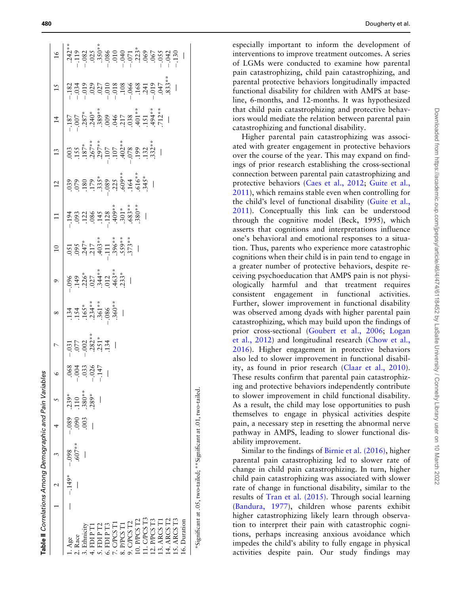<span id="page-8-0"></span>

| Table II Correlations Among Demographic and Pain Variab |          |         |      |          | les     |                                                                     |                                                                                 |                                                                                         |                                                                                                                                                                                                                                                                                                               |                                                                                                                                                                                                                                               |                                                                                                                                                                                                                                                                                                                                                                                       |                                                                                                                                                                                                                                                                                                                                                   |    |  |
|---------------------------------------------------------|----------|---------|------|----------|---------|---------------------------------------------------------------------|---------------------------------------------------------------------------------|-----------------------------------------------------------------------------------------|---------------------------------------------------------------------------------------------------------------------------------------------------------------------------------------------------------------------------------------------------------------------------------------------------------------|-----------------------------------------------------------------------------------------------------------------------------------------------------------------------------------------------------------------------------------------------|---------------------------------------------------------------------------------------------------------------------------------------------------------------------------------------------------------------------------------------------------------------------------------------------------------------------------------------------------------------------------------------|---------------------------------------------------------------------------------------------------------------------------------------------------------------------------------------------------------------------------------------------------------------------------------------------------------------------------------------------------|----|--|
|                                                         |          |         |      |          | $\circ$ | $\overline{a}$                                                      | $\infty$                                                                        | $\circ$                                                                                 | $\begin{array}{r l} 10 \\ 10 \\ 0.01 \\ 0.03 \\ 0.04 \\ 0.01 \\ 0.03 \\ 0.04 \\ 0.01 \\ 0.03 \\ 0.03 \\ 0.03 \\ 0.03 \\ 0.03 \\ 0.03 \\ 0.03 \\ 0.03 \\ 0.03 \\ 0.03 \\ 0.03 \\ 0.03 \\ 0.03 \\ 0.03 \\ 0.03 \\ 0.03 \\ 0.03 \\ 0.03 \\ 0.03 \\ 0.03 \\ 0.03 \\ 0.03 \\ 0.03 \\ 0.03 \\ 0.03 \\ 0.03 \\ 0.03$ |                                                                                                                                                                                                                                               | 13                                                                                                                                                                                                                                                                                                                                                                                    | $\frac{4}{3}$                                                                                                                                                                                                                                                                                                                                     | 15 |  |
| Age                                                     | $-.149*$ | $-0.98$ | .089 | $0.239*$ | 663047  | $-031$<br>$-002$<br>$-002$<br>$-003$<br>$-0.51$<br>$-134$<br>$-134$ | $\begin{array}{r} 134 \\ 154 \\ 165 \\ 134 \\ 361 \\ 360 \\ \hline \end{array}$ | $\begin{array}{c c}\n96 & 32 \\ -32 & 31 \\ -1 & 32 \\ -1 & 34 \\ -1 & 35\n\end{array}$ |                                                                                                                                                                                                                                                                                                               | $\frac{1}{1}$ $\frac{1}{1}$ $\frac{34}{1}$ $\frac{35}{1}$ $\frac{36}{1}$ $\frac{36}{1}$ $\frac{36}{1}$ $\frac{36}{1}$ $\frac{36}{1}$ $\frac{36}{1}$ $\frac{36}{1}$ $\frac{36}{1}$ $\frac{36}{1}$ $\frac{36}{1}$ $\frac{36}{1}$ $\frac{36}{1}$ | $\begin{array}{c}\n 003 \\  003 \\  155 \\  067 \\  075 \\  087 \\  097 \\  000 \\  001 \\  001 \\  002 \\  003 \\  003 \\  004 \\  000 \\  000 \\  001 \\  001 \\  002 \\  003 \\  003 \\  01 \\  01 \\  01 \\  02 \\  03 \\  04 \\  04 \\  00 \\  00 \\  01 \\  00 \\  01 \\  02 \\  03 \\  04 \\  04 \\  05 \\  06 \\  07 \\  08 \\  09 \\  09 \\  00 \\  01 \\  01 \\  02 \\  03$ | $\begin{array}{l} -1.87 \\ -0.07 \\ -0.38 \\ -0.39 \\ -0.39 \\ -0.07 \\ -0.07 \\ -0.07 \\ -0.07 \\ -0.07 \\ -0.07 \\ -0.07 \\ -0.07 \\ -0.07 \\ -0.07 \\ -0.07 \\ -0.07 \\ -0.07 \\ -0.07 \\ -0.07 \\ -0.07 \\ -0.07 \\ -0.07 \\ -0.07 \\ -0.07 \\ -0.07 \\ -0.07 \\ -0.07 \\ -0.07 \\ -0.07 \\ -0.07 \\ -0.07 \\ -0.07 \\ -0.07 \\ -0.07 \\ -0.$ |    |  |
| Race                                                    |          | $607**$ | 090  | 110      |         |                                                                     |                                                                                 |                                                                                         |                                                                                                                                                                                                                                                                                                               |                                                                                                                                                                                                                                               |                                                                                                                                                                                                                                                                                                                                                                                       |                                                                                                                                                                                                                                                                                                                                                   |    |  |
| Ethnicity                                               |          |         | 003  | 380**    |         |                                                                     |                                                                                 |                                                                                         |                                                                                                                                                                                                                                                                                                               |                                                                                                                                                                                                                                               |                                                                                                                                                                                                                                                                                                                                                                                       |                                                                                                                                                                                                                                                                                                                                                   |    |  |
| FDIP TI                                                 |          |         |      | 289*     |         |                                                                     |                                                                                 |                                                                                         |                                                                                                                                                                                                                                                                                                               |                                                                                                                                                                                                                                               |                                                                                                                                                                                                                                                                                                                                                                                       |                                                                                                                                                                                                                                                                                                                                                   |    |  |
| FDIP T2                                                 |          |         |      |          |         |                                                                     |                                                                                 |                                                                                         |                                                                                                                                                                                                                                                                                                               |                                                                                                                                                                                                                                               |                                                                                                                                                                                                                                                                                                                                                                                       |                                                                                                                                                                                                                                                                                                                                                   |    |  |
| 5. FDIP T3                                              |          |         |      |          |         |                                                                     |                                                                                 |                                                                                         |                                                                                                                                                                                                                                                                                                               |                                                                                                                                                                                                                                               |                                                                                                                                                                                                                                                                                                                                                                                       |                                                                                                                                                                                                                                                                                                                                                   |    |  |
| 7. CPCS T1                                              |          |         |      |          |         |                                                                     |                                                                                 |                                                                                         |                                                                                                                                                                                                                                                                                                               |                                                                                                                                                                                                                                               |                                                                                                                                                                                                                                                                                                                                                                                       |                                                                                                                                                                                                                                                                                                                                                   |    |  |
| 3. P/PCS T1                                             |          |         |      |          |         |                                                                     |                                                                                 |                                                                                         |                                                                                                                                                                                                                                                                                                               |                                                                                                                                                                                                                                               |                                                                                                                                                                                                                                                                                                                                                                                       |                                                                                                                                                                                                                                                                                                                                                   |    |  |
| $9.$ CPCS T2                                            |          |         |      |          |         |                                                                     |                                                                                 |                                                                                         |                                                                                                                                                                                                                                                                                                               |                                                                                                                                                                                                                                               |                                                                                                                                                                                                                                                                                                                                                                                       |                                                                                                                                                                                                                                                                                                                                                   |    |  |
| $0.$ P/PCS T2                                           |          |         |      |          |         |                                                                     |                                                                                 |                                                                                         |                                                                                                                                                                                                                                                                                                               |                                                                                                                                                                                                                                               |                                                                                                                                                                                                                                                                                                                                                                                       |                                                                                                                                                                                                                                                                                                                                                   |    |  |
| 1. CPCS T3                                              |          |         |      |          |         |                                                                     |                                                                                 |                                                                                         |                                                                                                                                                                                                                                                                                                               |                                                                                                                                                                                                                                               |                                                                                                                                                                                                                                                                                                                                                                                       |                                                                                                                                                                                                                                                                                                                                                   |    |  |
| 2. P/PCS T3                                             |          |         |      |          |         |                                                                     |                                                                                 |                                                                                         |                                                                                                                                                                                                                                                                                                               |                                                                                                                                                                                                                                               |                                                                                                                                                                                                                                                                                                                                                                                       |                                                                                                                                                                                                                                                                                                                                                   |    |  |
| $3.$ ARCS $T1$                                          |          |         |      |          |         |                                                                     |                                                                                 |                                                                                         |                                                                                                                                                                                                                                                                                                               |                                                                                                                                                                                                                                               |                                                                                                                                                                                                                                                                                                                                                                                       |                                                                                                                                                                                                                                                                                                                                                   |    |  |
| 14. ARCS T2                                             |          |         |      |          |         |                                                                     |                                                                                 |                                                                                         |                                                                                                                                                                                                                                                                                                               |                                                                                                                                                                                                                                               |                                                                                                                                                                                                                                                                                                                                                                                       |                                                                                                                                                                                                                                                                                                                                                   |    |  |
| 15. ARCS T3                                             |          |         |      |          |         |                                                                     |                                                                                 |                                                                                         |                                                                                                                                                                                                                                                                                                               |                                                                                                                                                                                                                                               |                                                                                                                                                                                                                                                                                                                                                                                       |                                                                                                                                                                                                                                                                                                                                                   |    |  |
| 6. Duration                                             |          |         |      |          |         |                                                                     |                                                                                 |                                                                                         |                                                                                                                                                                                                                                                                                                               |                                                                                                                                                                                                                                               |                                                                                                                                                                                                                                                                                                                                                                                       |                                                                                                                                                                                                                                                                                                                                                   |    |  |
|                                                         |          |         |      |          |         |                                                                     |                                                                                 |                                                                                         |                                                                                                                                                                                                                                                                                                               |                                                                                                                                                                                                                                               |                                                                                                                                                                                                                                                                                                                                                                                       |                                                                                                                                                                                                                                                                                                                                                   |    |  |

\*Significant at .05, two-tailed; \*\*Significant at .01, two-tailed. \*Significant at .05, two-tailed; \*\*Significant at .01, two-tailed.

especially important to inform the development of interventions to improve treatment outcomes. A series of LGMs were conducted to examine how parental pain catastrophizing, child pain catastrophizing, and parental protective behaviors longitudinally impacted functional disability for children with AMPS at baseline, 6-months, and 12-months. It was hypothesized that child pain catastrophizing and protective behaviors would mediate the relation between parental pain catastrophizing and functional disability.

Higher parental pain catastrophizing was associated with greater engagement in protective behaviors over the course of the year. This may expand on findings of prior research establishing the cross-sectional connection between parental pain catastrophizing and protective behaviors ([Caes et al., 2012](#page-10-0) ; [Guite et al.,](#page-11-0) [2011\)](#page-11-0), which remains stable even when controlling for the child's level of functional disability [\(Guite et al.,](#page-11-0) [2011\)](#page-11-0). Conceptually this link can be understood through the cognitive model (Beck, 1995), which asserts that cognitions and interpretations influence one's behavioral and emotional responses to a situation. Thus, parents who experience more catastrophic cognitions when their child is in pain tend to engage in a greater number of protective behaviors, despite receiving psychoeducation that AMPS pain is not physiologically harmful and that treatment requires consistent engagement in functional activities. Further, slower improvement in functional disability was observed among dyads with higher parental pain catastrophizing, which may build upon the findings of prior cross-sectional ([Goubert et al., 2006](#page-11-0) ; [Logan](#page-11-0) [et al., 2012](#page-11-0)) and longitudinal research [\(Chow et al.,](#page-10-0) [2016\)](#page-10-0). Higher engagement in protective behaviors also led to slower improvement in functional disability, as found in prior research ([Claar et al., 2010\)](#page-10-0). These results confirm that parental pain catastrophizing and protective behaviors independently contribute to slower improvement in child functional disability. As a result, the child may lose opportunities to push themselves to engage in physical activities despite pain, a necessary step in resetting the abnormal nerve pathway in AMPS, leading to slower functional disability improvement.

Similar to the findings of [Birnie et al. \(2016\)](#page-10-0), higher parental pain catastrophizing led to slower rate of change in child pain catastrophizing. In turn, higher child pain catastrophizing was associated with slower rate of change in functional disability, similar to the results of [Tran et al. \(2015\).](#page-12-0) Through social learning ([Bandura, 1977](#page-10-0)), children whose parents exhibit higher catastrophizing likely learn through observation to interpret their pain with catastrophic cognitions, perhaps increasing anxious avoidance which impedes the child's ability to fully engage in physical activities despite pain. Our study findings may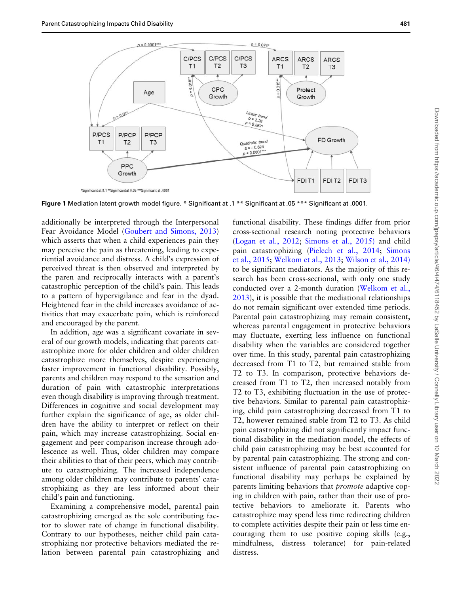<span id="page-9-0"></span>

Figure 1 Mediation latent growth model figure. \* Significant at .1 \*\* Significant at .05 \*\*\* Significant at .0001.

additionally be interpreted through the Interpersonal Fear Avoidance Model ([Goubert and Simons, 2013](#page-11-0)) which asserts that when a child experiences pain they may perceive the pain as threatening, leading to experiential avoidance and distress. A child's expression of perceived threat is then observed and interpreted by the paren and reciprocally interacts with a parent's catastrophic perception of the child's pain. This leads to a pattern of hypervigilance and fear in the dyad. Heightened fear in the child increases avoidance of activities that may exacerbate pain, which is reinforced and encouraged by the parent.

In addition, age was a significant covariate in several of our growth models, indicating that parents catastrophize more for older children and older children catastrophize more themselves, despite experiencing faster improvement in functional disability. Possibly, parents and children may respond to the sensation and duration of pain with catastrophic interpretations even though disability is improving through treatment. Differences in cognitive and social development may further explain the significance of age, as older children have the ability to interpret or reflect on their pain, which may increase catastrophizing. Social engagement and peer comparison increase through adolescence as well. Thus, older children may compare their abilities to that of their peers, which may contribute to catastrophizing. The increased independence among older children may contribute to parents' catastrophizing as they are less informed about their child's pain and functioning.

Examining a comprehensive model, parental pain catastrophizing emerged as the sole contributing factor to slower rate of change in functional disability. Contrary to our hypotheses, neither child pain catastrophizing nor protective behaviors mediated the relation between parental pain catastrophizing and

functional disability. These findings differ from prior cross-sectional research noting protective behaviors ([Logan et al., 2012;](#page-11-0) [Simons et al., 2015\)](#page-11-0) and child pain catastrophizing ([Pielech et al., 2014](#page-11-0); [Simons](#page-11-0) [et al., 2015;](#page-11-0) [Welkom et al., 2013;](#page-12-0) [Wilson et al., 2014\)](#page-12-0) to be significant mediators. As the majority of this research has been cross-sectional, with only one study conducted over a 2-month duration [\(Welkom et al.,](#page-12-0) [2013\)](#page-12-0), it is possible that the mediational relationships do not remain significant over extended time periods. Parental pain catastrophizing may remain consistent, whereas parental engagement in protective behaviors may fluctuate, exerting less influence on functional disability when the variables are considered together over time. In this study, parental pain catastrophizing decreased from T1 to T2, but remained stable from T2 to T3. In comparison, protective behaviors decreased from T1 to T2, then increased notably from T2 to T3, exhibiting fluctuation in the use of protective behaviors. Similar to parental pain catastrophizing, child pain catastrophizing decreased from T1 to T2, however remained stable from T2 to T3. As child pain catastrophizing did not significantly impact functional disability in the mediation model, the effects of child pain catastrophizing may be best accounted for by parental pain catastrophizing. The strong and consistent influence of parental pain catastrophizing on functional disability may perhaps be explained by parents limiting behaviors that promote adaptive coping in children with pain, rather than their use of protective behaviors to ameliorate it. Parents who catastrophize may spend less time redirecting children to complete activities despite their pain or less time encouraging them to use positive coping skills (e.g., mindfulness, distress tolerance) for pain-related distress.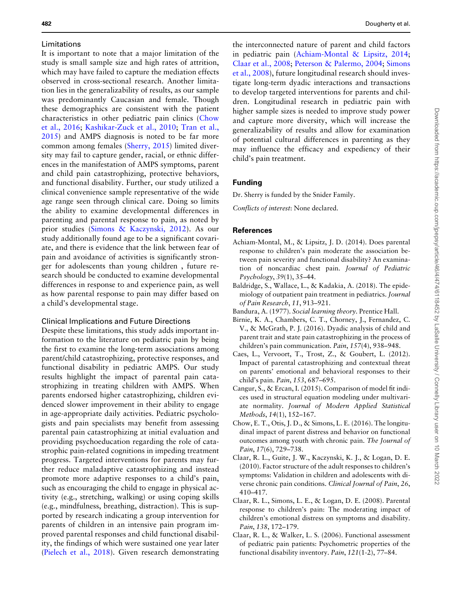#### <span id="page-10-0"></span>Limitations

It is important to note that a major limitation of the study is small sample size and high rates of attrition, which may have failed to capture the mediation effects observed in cross-sectional research. Another limitation lies in the generalizability of results, as our sample was predominantly Caucasian and female. Though these demographics are consistent with the patient characteristics in other pediatric pain clinics (Chow et al., 2016; [Kashikar-Zuck et al., 2010;](#page-11-0) [Tran et al.,](#page-12-0) [2015\)](#page-12-0) and AMPS diagnosis is noted to be far more common among females [\(Sherry, 2015](#page-11-0)) limited diversity may fail to capture gender, racial, or ethnic differences in the manifestation of AMPS symptoms, parent and child pain catastrophizing, protective behaviors, and functional disability. Further, our study utilized a clinical convenience sample representative of the wide age range seen through clinical care. Doing so limits the ability to examine developmental differences in parenting and parental response to pain, as noted by prior studies ([Simons](#page-11-0) & [Kaczynski, 2012\)](#page-11-0). As our study additionally found age to be a significant covariate, and there is evidence that the link between fear of pain and avoidance of activities is significantly stronger for adolescents than young children , future research should be conducted to examine developmental differences in response to and experience pain, as well as how parental response to pain may differ based on a child's developmental stage.

#### Clinical Implications and Future Directions

Despite these limitations, this study adds important information to the literature on pediatric pain by being the first to examine the long-term associations among parent/child catastrophizing, protective responses, and functional disability in pediatric AMPS. Our study results highlight the impact of parental pain catastrophizing in treating children with AMPS. When parents endorsed higher catastrophizing, children evidenced slower improvement in their ability to engage in age-appropriate daily activities. Pediatric psychologists and pain specialists may benefit from assessing parental pain catastrophizing at initial evaluation and providing psychoeducation regarding the role of catastrophic pain-related cognitions in impeding treatment progress. Targeted interventions for parents may further reduce maladaptive catastrophizing and instead promote more adaptive responses to a child's pain, such as encouraging the child to engage in physical activity (e.g., stretching, walking) or using coping skills (e.g., mindfulness, breathing, distraction). This is supported by research indicating a group intervention for parents of children in an intensive pain program improved parental responses and child functional disability, the findings of which were sustained one year later ([Pielech et al., 2018](#page-11-0)). Given research demonstrating

the interconnected nature of parent and child factors in pediatric pain (Achiam-Montal & Lipsitz, 2014; Claar et al., 2008; [Peterson & Palermo, 2004;](#page-11-0) [Simons](#page-11-0) [et al., 2008\)](#page-11-0), future longitudinal research should investigate long-term dyadic interactions and transactions to develop targeted interventions for parents and children. Longitudinal research in pediatric pain with higher sample sizes is needed to improve study power and capture more diversity, which will increase the generalizability of results and allow for examination of potential cultural differences in parenting as they may influence the efficacy and expediency of their child's pain treatment.

#### Funding

Dr. Sherry is funded by the Snider Family.

Conflicts of interest: None declared.

#### References

- Achiam-Montal, M., & Lipsitz, J. D. (2014). Does parental response to children's pain moderate the association between pain severity and functional disability? An examination of noncardiac chest pain. Journal of Pediatric Psychology, 39(1), 35–44.
- Baldridge, S., Wallace, L., & Kadakia, A. (2018). The epidemiology of outpatient pain treatment in pediatrics. Journal of Pain Research, 11, 913–921.
- Bandura, A. (1977). Social learning theory. Prentice Hall.
- Birnie, K. A., Chambers, C. T., Chorney, J., Fernandez, C. V., & McGrath, P. J. (2016). Dyadic analysis of child and parent trait and state pain catastrophizing in the process of children's pain communication. Pain, 157(4), 938–948.
- Caes, L., Vervoort, T., Trost, Z., & Goubert, L. (2012). Impact of parental catastrophizing and contextual threat on parents' emotional and behavioral responses to their child's pain. Pain, 153, 687–695.
- Cangur, S., & Ercan, I. (2015). Comparison of model fit indices used in structural equation modeling under multivariate normality. Journal of Modern Applied Statistical Methods, 14(1), 152–167.
- Chow, E. T., Otis, J. D., & Simons, L. E. (2016). The longitudinal impact of parent distress and behavior on functional outcomes among youth with chronic pain. The Journal of Pain, 17(6), 729–738.
- Claar, R. L., Guite, J. W., Kaczynski, K. J., & Logan, D. E. (2010). Factor structure of the adult responses to children's symptoms: Validation in children and adolescents with diverse chronic pain conditions. Clinical Journal of Pain, 26, 410–417.
- Claar, R. L., Simons, L. E., & Logan, D. E. (2008). Parental response to children's pain: The moderating impact of children's emotional distress on symptoms and disability. Pain, 138, 172–179.
- Claar, R. L., & Walker, L. S. (2006). Functional assessment of pediatric pain patients: Psychometric properties of the functional disability inventory. Pain, 121(1-2), 77–84.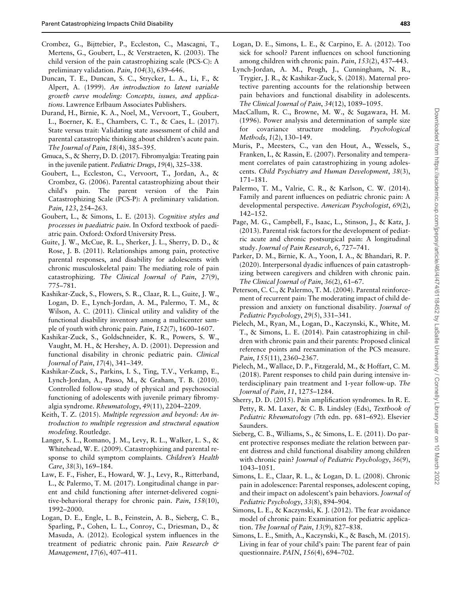- <span id="page-11-0"></span>Crombez, G., Bijttebier, P., Eccleston, C., Mascagni, T., Mertens, G., Goubert, L., & Verstraeten, K. (2003). The child version of the pain catastrophizing scale (PCS-C): A preliminary validation. Pain, 104(3), 639–646.
- Duncan, T. E., Duncan, S. C., Strycker, L. A., Li, F., & Alpert, A. (1999). An introduction to latent variable growth curve modeling: Concepts, issues, and applications. Lawrence Erlbaum Associates Publishers.
- Durand, H., Birnie, K. A., Noel, M., Vervoort, T., Goubert, L., Boerner, K. E., Chambers, C. T., & Caes, L. (2017). State versus trait: Validating state assessment of child and parental catastrophic thinking about children's acute pain. The Journal of Pain, 18(4), 385–395.
- Gmuca, S., & Sherry, D. D. (2017). Fibromyalgia: Treating pain in the juvenile patient. Pediatric Drugs, 19(4), 325–338.
- Goubert, L., Eccleston, C., Vervoort, T., Jordan, A., & Crombez, G. (2006). Parental catastrophizing about their child's pain. The parent version of the Pain Catastrophizing Scale (PCS-P): A preliminary validation. Pain, 123, 254–263.
- Goubert, L., & Simons, L. E. (2013). Cognitive styles and processes in paediatric pain. In Oxford textbook of paediatric pain. Oxford: Oxford University Press.
- Guite, J. W., McCue, R. L., Sherker, J. L., Sherry, D. D., & Rose, J. B. (2011). Relationships among pain, protective parental responses, and disability for adolescents with chronic musculoskeletal pain: The mediating role of pain catastrophizing. The Clinical Journal of Pain, 27(9), 775–781.
- Kashikar-Zuck, S., Flowers, S. R., Claar, R. L., Guite, J. W., Logan, D. E., Lynch-Jordan, A. M., Palermo, T. M., & Wilson, A. C. (2011). Clinical utility and validity of the functional disability inventory among a multicenter sample of youth with chronic pain. Pain, 152(7), 1600–1607.
- Kashikar-Zuck, S., Goldschneider, K. R., Powers, S. W., Vaught, M. H., & Hershey, A. D. (2001). Depression and functional disability in chronic pediatric pain. Clinical Journal of Pain, 17(4), 341–349.
- Kashikar-Zuck, S., Parkins, I. S., Ting, T.V., Verkamp, E., Lynch-Jordan, A., Passo, M., & Graham, T. B. (2010). Controlled follow-up study of physical and psychosocial functioning of adolescents with juvenile primary fibromyalgia syndrome. Rheumatology, 49(11), 2204–2209.
- Keith, T. Z. (2015). Multiple regression and beyond: An introduction to multiple regression and structural equation modeling. Routledge.
- Langer, S. L., Romano, J. M., Levy, R. L., Walker, L. S., & Whitehead, W. E. (2009). Catastrophizing and parental response to child symptom complaints. Children's Health Care, 38(3), 169–184.
- Law, E. F., Fisher, E., Howard, W. J., Levy, R., Ritterband, L., & Palermo, T. M. (2017). Longitudinal change in parent and child functioning after internet-delivered cognitive-behavioral therapy for chronic pain. Pain, 158(10), 1992–2000.
- Logan, D. E., Engle, L. B., Feinstein, A. B., Sieberg, C. B., Sparling, P., Cohen, L. L., Conroy, C., Driesman, D., & Masuda, A. (2012). Ecological system influences in the treatment of pediatric chronic pain. Pain Research & Management, 17(6), 407–411.
- Logan, D. E., Simons, L. E., & Carpino, E. A. (2012). Too sick for school? Parent influences on school functioning among children with chronic pain. Pain, 153(2), 437–443.
- Lynch-Jordan, A. M., Peugh, J., Cunningham, N. R., Trygier, J. R., & Kashikar-Zuck, S. (2018). Maternal protective parenting accounts for the relationship between pain behaviors and functional disability in adolescents. The Clinical Journal of Pain, 34(12), 1089–1095.
- MacCallum, R. C., Browne, M. W., & Sugawara, H. M. (1996). Power analysis and determination of sample size for covariance structure modeling. Psychological Methods, 1(2), 130–149.
- Muris, P., Meesters, C., van den Hout, A., Wessels, S., Franken, I., & Rassin, E. (2007). Personality and temperament correlates of pain catastrophizing in young adolescents. Child Psychiatry and Human Development, 38(3), 171–181.
- Palermo, T. M., Valrie, C. R., & Karlson, C. W. (2014). Family and parent influences on pediatric chronic pain: A developmental perspective. American Psychologist, 69(2), 142–152.
- Page, M. G., Campbell, F., Isaac, L., Stinson, J., & Katz, J. (2013). Parental risk factors for the development of pediatric acute and chronic postsurgical pain: A longitudinal study. Journal of Pain Research, 6, 727–741.
- Parker, D. M., Birnie, K. A., Yoon, I. A., & Bhandari, R. P. (2020). Interpersonal dyadic influences of pain catastrophizing between caregivers and children with chronic pain. The Clinical Journal of Pain, 36(2), 61–67.
- Peterson, C. C., & Palermo, T. M. (2004). Parental reinforcement of recurrent pain: The moderating impact of child depression and anxiety on functional disability. Journal of Pediatric Psychology, 29(5), 331–341.
- Pielech, M., Ryan, M., Logan, D., Kaczynski, K., White, M. T., & Simons, L. E. (2014). Pain catastrophizing in children with chronic pain and their parents: Proposed clinical reference points and reexamination of the PCS measure. Pain, 155(11), 2360-2367.
- Pielech, M., Wallace, D. P., Fitzgerald, M., & Hoffart, C. M. (2018). Parent responses to child pain during intensive interdisciplinary pain treatment and 1-year follow-up. The Journal of Pain, 11, 1275–1284.
- Sherry, D. D. (2015). Pain amplification syndromes. In R. E. Petty, R. M. Laxer, & C. B. Lindsley (Eds), Textbook of Pediatric Rheumatology (7th edn. pp. 681–692). Elsevier Saunders.
- Sieberg, C. B., Williams, S., & Simons, L. E. (2011). Do parent protective responses mediate the relation between parent distress and child functional disability among children with chronic pain? Journal of Pediatric Psychology, 36(9), 1043–1051.
- Simons, L. E., Claar, R. L., & Logan, D. L. (2008). Chronic pain in adolescence: Parental responses, adolescent coping, and their impact on adolescent's pain behaviors. Journal of Pediatric Psychology, 33(8), 894–904.
- Simons, L. E., & Kaczynski, K. J. (2012). The fear avoidance model of chronic pain: Examination for pediatric application. The Journal of Pain, 13(9), 827–838.
- Simons, L. E., Smith, A., Kaczynski, K., & Basch, M. (2015). Living in fear of your child's pain: The parent fear of pain questionnaire. PAIN, 156(4), 694–702.